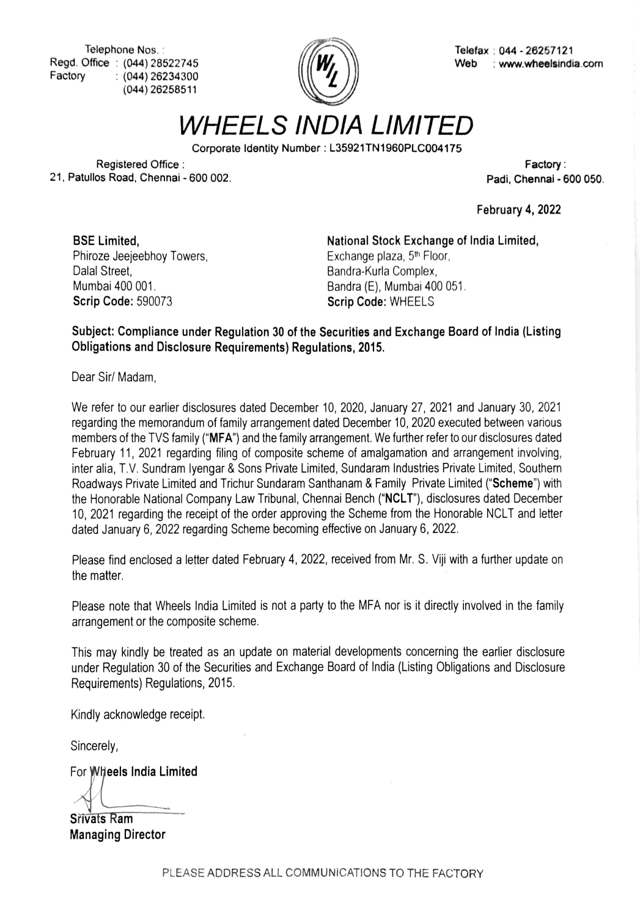Telephone Nos. :<br>Regd. Office : (044) 28522745  $\mathbb{Z}$  Regd. Office : (044) 28522745  $\mathbb{Z}$ (044) 26234300 (044) 26258511 Factory



Web : www.wheelsindia.com

WHEELS INDIA LIMITED

Corporate Identity Number : L35921TN1960PLC004175

Registered Office: 21, Patullos Road, Chennai - 600 002. Factory

Padi, Chennai - 600 050.

February 4, 2022

Dalal Street, Mumbai 400 001 Scrip Code: 590073 BSE Limited, Phiroze Jeejeebhoy Towers, National Stock Exchange of India Limited, Exchange plaza, 5<sup>th</sup> Floor, Bandra-Kurla Complex, Bandra (E), Mumbai 400 051. Scrip Code: WHEELS

## Subject: Compliance under Regulation 30 of the Securities and Exchange Board of India (Listing Obligations and Disclosure Requirements) Regulations, 2015.

Dear Sir/ Madam,

We refer to our earlier disclosures dated December 10, 2020, January 27, 2021 and January 30, 2021 regarding the memorandum of family arrangement dated December 10, 2020 executed between various members of the TVS family ("MFA") and the family arrangement. We further refer to our disclosures dated February 11, 2021 regarding filing of composite scheme of amalgamation and arrangement involving, inter alia, T.V. Sundram Iyengar & Sons Private Limited, Sundaram Industries Private Limited, Southern Roadways Private Limited and Trichur Sundaram Santhanam & Family Private Limited ("Scheme") with the Honorable National Company Law Tribunal, Chennai Bench ("NCLT"), disclosures dated December 10, 2021 regarding the receipt of the order approving the Scheme from the Honorable NCLT and letter dated January 6, 2022 regarding Scheme becoming effective on January 6, 2022.

Please find enclosed a letter dated February 4, 2022, received from Mr. S. Viji with a further update on the matter.

Please note that Wheels India Limited is not a party to the MFA nor is it directly involved in the family arrangement or the composite scheme.

This may kindly be treated as an update on material developments concerning the earlier disclosure under Regulation 30 of the Securities and Exchange Board of India (Listing Obligations and Disclosure Requirements) Regulations, 2015.

Kindly acknowledge receipt.

Sincerely,

For Wheels India Limited

Srivats Ram Managing Director

PLEASE ADDRESS ALL COMMUNICATIONS TO THE FACTORY